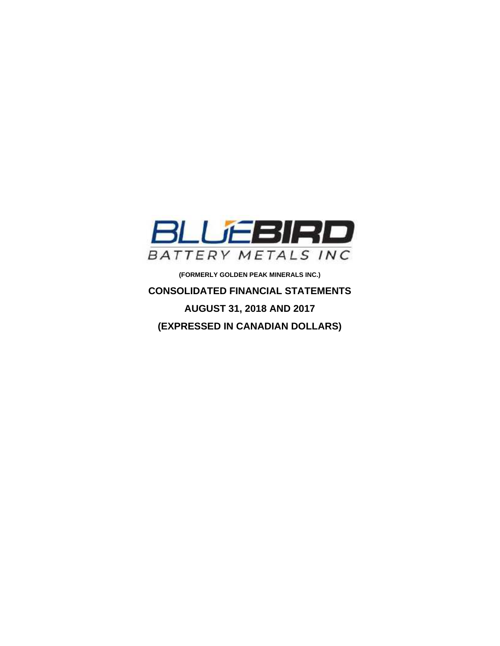

**(FORMERLY GOLDEN PEAK MINERALS INC.)** 

**CONSOLIDATED FINANCIAL STATEMENTS AUGUST 31, 2018 AND 2017 (EXPRESSED IN CANADIAN DOLLARS)**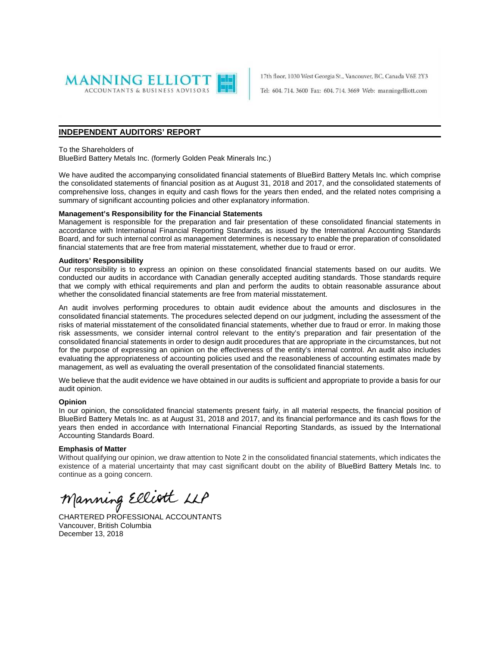

17th floor, 1030 West Georgia St., Vancouver, BC, Canada V6E 2Y3

Tel: 604. 714. 3600 Fax: 604. 714. 3669 Web: manningelliott.com

### **INDEPENDENT AUDITORS' REPORT**

To the Shareholders of

BlueBird Battery Metals Inc. (formerly Golden Peak Minerals Inc.)

We have audited the accompanying consolidated financial statements of BlueBird Battery Metals Inc. which comprise the consolidated statements of financial position as at August 31, 2018 and 2017, and the consolidated statements of comprehensive loss, changes in equity and cash flows for the years then ended, and the related notes comprising a summary of significant accounting policies and other explanatory information.

#### **Management's Responsibility for the Financial Statements**

Management is responsible for the preparation and fair presentation of these consolidated financial statements in accordance with International Financial Reporting Standards, as issued by the International Accounting Standards Board, and for such internal control as management determines is necessary to enable the preparation of consolidated financial statements that are free from material misstatement, whether due to fraud or error.

#### **Auditors' Responsibility**

Our responsibility is to express an opinion on these consolidated financial statements based on our audits. We conducted our audits in accordance with Canadian generally accepted auditing standards. Those standards require that we comply with ethical requirements and plan and perform the audits to obtain reasonable assurance about whether the consolidated financial statements are free from material misstatement.

An audit involves performing procedures to obtain audit evidence about the amounts and disclosures in the consolidated financial statements. The procedures selected depend on our judgment, including the assessment of the risks of material misstatement of the consolidated financial statements, whether due to fraud or error. In making those risk assessments, we consider internal control relevant to the entity's preparation and fair presentation of the consolidated financial statements in order to design audit procedures that are appropriate in the circumstances, but not for the purpose of expressing an opinion on the effectiveness of the entity's internal control. An audit also includes evaluating the appropriateness of accounting policies used and the reasonableness of accounting estimates made by management, as well as evaluating the overall presentation of the consolidated financial statements.

We believe that the audit evidence we have obtained in our audits is sufficient and appropriate to provide a basis for our audit opinion.

#### **Opinion**

In our opinion, the consolidated financial statements present fairly, in all material respects, the financial position of BlueBird Battery Metals Inc. as at August 31, 2018 and 2017, and its financial performance and its cash flows for the years then ended in accordance with International Financial Reporting Standards, as issued by the International Accounting Standards Board.

#### **Emphasis of Matter**

Without qualifying our opinion, we draw attention to Note 2 in the consolidated financial statements, which indicates the existence of a material uncertainty that may cast significant doubt on the ability of BlueBird Battery Metals Inc. to continue as a going concern.

Manning Elliott LLP

CHARTERED PROFESSIONAL ACCOUNTANTS Vancouver, British Columbia December 13, 2018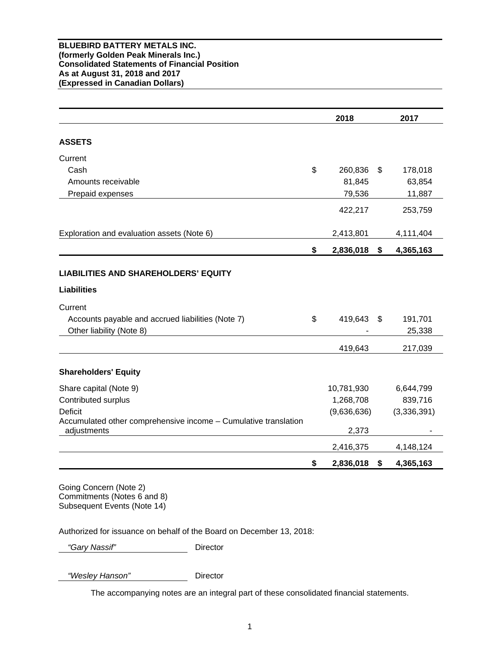|                                                                                | 2018            | 2017            |
|--------------------------------------------------------------------------------|-----------------|-----------------|
| <b>ASSETS</b>                                                                  |                 |                 |
| Current                                                                        |                 |                 |
| Cash                                                                           | \$<br>260,836   | \$<br>178,018   |
| Amounts receivable                                                             | 81,845          | 63,854          |
| Prepaid expenses                                                               | 79,536          | 11,887          |
|                                                                                | 422,217         | 253,759         |
| Exploration and evaluation assets (Note 6)                                     | 2,413,801       | 4,111,404       |
|                                                                                | \$<br>2,836,018 | \$<br>4,365,163 |
| <b>LIABILITIES AND SHAREHOLDERS' EQUITY</b><br><b>Liabilities</b>              |                 |                 |
|                                                                                |                 |                 |
| Current<br>Accounts payable and accrued liabilities (Note 7)                   | \$<br>419,643   | \$<br>191,701   |
| Other liability (Note 8)                                                       |                 | 25,338          |
|                                                                                | 419,643         | 217,039         |
| <b>Shareholders' Equity</b>                                                    |                 |                 |
| Share capital (Note 9)                                                         | 10,781,930      | 6,644,799       |
| Contributed surplus                                                            | 1,268,708       | 839,716         |
| <b>Deficit</b>                                                                 | (9,636,636)     | (3,336,391)     |
| Accumulated other comprehensive income - Cumulative translation<br>adjustments | 2,373           |                 |
|                                                                                | 2,416,375       | 4,148,124       |
|                                                                                | \$<br>2,836,018 | \$<br>4,365,163 |

Going Concern (Note 2) Commitments (Notes 6 and 8) Subsequent Events (Note 14)

Authorized for issuance on behalf of the Board on December 13, 2018:

 *"Gary Nassif"* Director

 *"Wesley Hanson"* Director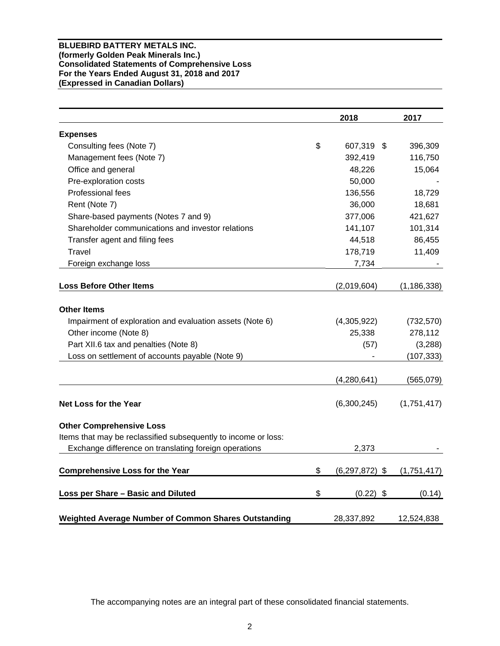### **BLUEBIRD BATTERY METALS INC. (formerly Golden Peak Minerals Inc.) Consolidated Statements of Comprehensive Loss For the Years Ended August 31, 2018 and 2017 (Expressed in Canadian Dollars)**

|                                                                | 2018                   | 2017          |
|----------------------------------------------------------------|------------------------|---------------|
| <b>Expenses</b>                                                |                        |               |
| Consulting fees (Note 7)                                       | \$<br>607,319<br>\$    | 396,309       |
| Management fees (Note 7)                                       | 392,419                | 116,750       |
| Office and general                                             | 48,226                 | 15,064        |
| Pre-exploration costs                                          | 50,000                 |               |
| Professional fees                                              | 136,556                | 18,729        |
| Rent (Note 7)                                                  | 36,000                 | 18,681        |
| Share-based payments (Notes 7 and 9)                           | 377,006                | 421,627       |
| Shareholder communications and investor relations              | 141,107                | 101,314       |
| Transfer agent and filing fees                                 | 44,518                 | 86,455        |
| Travel                                                         | 178,719                | 11,409        |
| Foreign exchange loss                                          | 7,734                  |               |
| <b>Loss Before Other Items</b>                                 | (2,019,604)            | (1, 186, 338) |
| <b>Other Items</b>                                             |                        |               |
| Impairment of exploration and evaluation assets (Note 6)       | (4,305,922)            | (732, 570)    |
| Other income (Note 8)                                          | 25,338                 | 278,112       |
| Part XII.6 tax and penalties (Note 8)                          | (57)                   | (3,288)       |
| Loss on settlement of accounts payable (Note 9)                |                        | (107, 333)    |
|                                                                | (4, 280, 641)          | (565,079)     |
| Net Loss for the Year                                          | (6,300,245)            | (1,751,417)   |
| <b>Other Comprehensive Loss</b>                                |                        |               |
| Items that may be reclassified subsequently to income or loss: |                        |               |
| Exchange difference on translating foreign operations          | 2,373                  |               |
| <b>Comprehensive Loss for the Year</b>                         | \$<br>$(6,297,872)$ \$ | (1,751,417)   |
| Loss per Share - Basic and Diluted                             | \$<br>(0.22)<br>- \$   | (0.14)        |
| Weighted Average Number of Common Shares Outstanding           | 28,337,892             | 12,524,838    |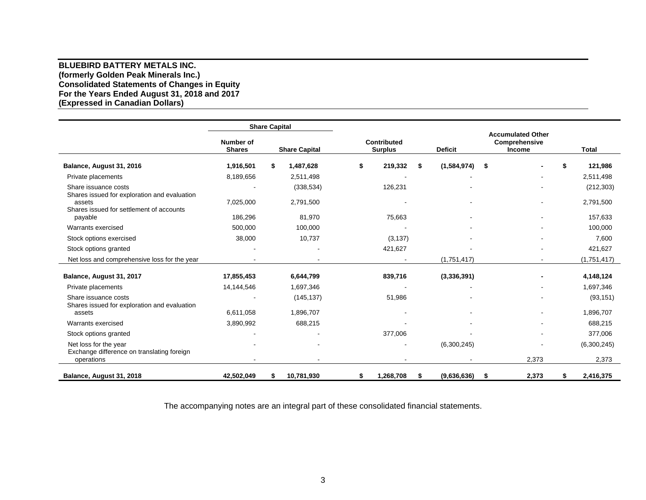#### **BLUEBIRD BATTERY METALS INC. (formerly Golden Peak Minerals Inc.) Consolidated Statements of Changes in Equity For the Years Ended August 31, 2018 and 2017 (Expressed in Canadian Dollars)**

|                                                                                   | <b>Share Capital</b>              |    |                      |                                      |           |                                                                       |             |      |              |    |                      |
|-----------------------------------------------------------------------------------|-----------------------------------|----|----------------------|--------------------------------------|-----------|-----------------------------------------------------------------------|-------------|------|--------------|----|----------------------|
|                                                                                   | <b>Number of</b><br><b>Shares</b> |    | <b>Share Capital</b> | <b>Contributed</b><br><b>Surplus</b> |           | <b>Accumulated Other</b><br>Comprehensive<br><b>Deficit</b><br>Income |             |      | <b>Total</b> |    |                      |
| Balance, August 31, 2016                                                          | 1,916,501                         | \$ | 1,487,628            | \$                                   | 219,332   | S.                                                                    | (1,584,974) | - \$ |              | S  | 121,986              |
| Private placements                                                                | 8,189,656                         |    | 2,511,498            |                                      |           |                                                                       |             |      |              |    | 2,511,498            |
| Share issuance costs<br>Shares issued for exploration and evaluation              |                                   |    | (338, 534)           |                                      | 126,231   |                                                                       |             |      |              |    | (212, 303)           |
| assets                                                                            | 7,025,000                         |    | 2,791,500            |                                      |           |                                                                       |             |      |              |    | 2,791,500            |
| Shares issued for settlement of accounts<br>payable                               | 186,296                           |    | 81,970               |                                      | 75,663    |                                                                       |             |      |              |    | 157,633              |
| Warrants exercised                                                                | 500,000                           |    | 100,000              |                                      |           |                                                                       |             |      |              |    | 100,000              |
| Stock options exercised                                                           | 38,000                            |    | 10,737               |                                      | (3, 137)  |                                                                       |             |      |              |    | 7,600                |
| Stock options granted                                                             |                                   |    |                      |                                      | 421,627   |                                                                       |             |      |              |    | 421,627              |
| Net loss and comprehensive loss for the year                                      |                                   |    |                      |                                      |           |                                                                       | (1,751,417) |      |              |    | (1,751,417)          |
| Balance, August 31, 2017                                                          | 17,855,453                        |    | 6,644,799            |                                      | 839,716   |                                                                       | (3,336,391) |      |              |    | 4,148,124            |
| Private placements                                                                | 14,144,546                        |    | 1,697,346            |                                      |           |                                                                       |             |      |              |    | 1,697,346            |
| Share issuance costs<br>Shares issued for exploration and evaluation              |                                   |    | (145, 137)           |                                      | 51,986    |                                                                       |             |      |              |    | (93, 151)            |
| assets                                                                            | 6,611,058                         |    | 1,896,707            |                                      |           |                                                                       |             |      |              |    | 1,896,707            |
| Warrants exercised                                                                | 3,890,992                         |    | 688,215              |                                      |           |                                                                       |             |      |              |    | 688,215              |
| Stock options granted                                                             |                                   |    |                      |                                      | 377,006   |                                                                       |             |      |              |    | 377,006              |
| Net loss for the year<br>Exchange difference on translating foreign<br>operations |                                   |    |                      |                                      |           |                                                                       | (6,300,245) |      | 2,373        |    | (6,300,245)<br>2,373 |
| Balance, August 31, 2018                                                          | 42,502,049                        | \$ | 10,781,930           | \$                                   | 1,268,708 | \$                                                                    | (9,636,636) | \$   | 2,373        | \$ | 2,416,375            |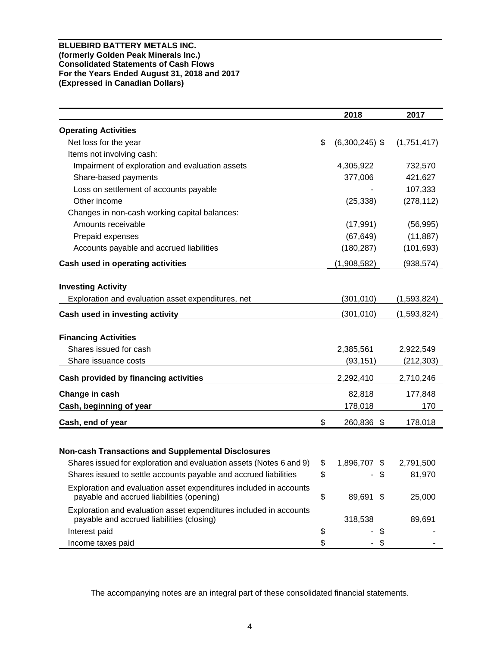### **BLUEBIRD BATTERY METALS INC. (formerly Golden Peak Minerals Inc.) Consolidated Statements of Cash Flows For the Years Ended August 31, 2018 and 2017 (Expressed in Canadian Dollars)**

|                                                                                                                 | 2018                   | 2017        |
|-----------------------------------------------------------------------------------------------------------------|------------------------|-------------|
| <b>Operating Activities</b>                                                                                     |                        |             |
| Net loss for the year                                                                                           | \$<br>$(6,300,245)$ \$ | (1,751,417) |
| Items not involving cash:                                                                                       |                        |             |
| Impairment of exploration and evaluation assets                                                                 | 4,305,922              | 732,570     |
| Share-based payments                                                                                            | 377,006                | 421,627     |
| Loss on settlement of accounts payable                                                                          |                        | 107,333     |
| Other income                                                                                                    | (25, 338)              | (278, 112)  |
| Changes in non-cash working capital balances:                                                                   |                        |             |
| Amounts receivable                                                                                              | (17, 991)              | (56, 995)   |
| Prepaid expenses                                                                                                | (67, 649)              | (11, 887)   |
| Accounts payable and accrued liabilities                                                                        | (180,287)              | (101,693)   |
| Cash used in operating activities                                                                               | (1,908,582)            | (938, 574)  |
|                                                                                                                 |                        |             |
| <b>Investing Activity</b>                                                                                       |                        |             |
| Exploration and evaluation asset expenditures, net                                                              | (301, 010)             | (1,593,824) |
| Cash used in investing activity                                                                                 | (301, 010)             | (1,593,824) |
| <b>Financing Activities</b>                                                                                     |                        |             |
| Shares issued for cash                                                                                          | 2,385,561              | 2,922,549   |
|                                                                                                                 |                        |             |
| Share issuance costs                                                                                            | (93, 151)              | (212, 303)  |
| Cash provided by financing activities                                                                           | 2,292,410              | 2,710,246   |
| Change in cash                                                                                                  | 82,818                 | 177,848     |
| Cash, beginning of year                                                                                         | 178,018                | 170         |
| Cash, end of year                                                                                               | \$<br>260,836 \$       | 178,018     |
|                                                                                                                 |                        |             |
| <b>Non-cash Transactions and Supplemental Disclosures</b>                                                       |                        |             |
| Shares issued for exploration and evaluation assets (Notes 6 and 9)                                             | \$<br>1,896,707 \$     | 2,791,500   |
| Shares issued to settle accounts payable and accrued liabilities                                                | \$<br>- \$             | 81,970      |
| Exploration and evaluation asset expenditures included in accounts<br>payable and accrued liabilities (opening) | \$<br>89,691 \$        | 25,000      |
| Exploration and evaluation asset expenditures included in accounts<br>payable and accrued liabilities (closing) | 318,538                | 89,691      |
| Interest paid                                                                                                   | \$<br>\$               |             |
| Income taxes paid                                                                                               | \$<br>\$               |             |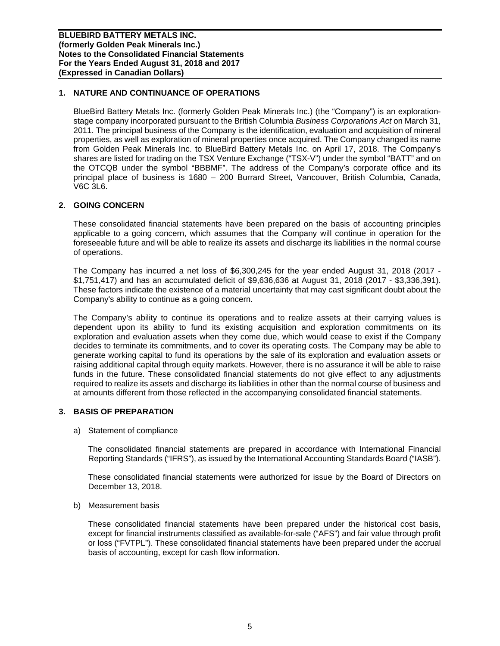# **1. NATURE AND CONTINUANCE OF OPERATIONS**

BlueBird Battery Metals Inc. (formerly Golden Peak Minerals Inc.) (the "Company") is an explorationstage company incorporated pursuant to the British Columbia *Business Corporations Act* on March 31, 2011. The principal business of the Company is the identification, evaluation and acquisition of mineral properties, as well as exploration of mineral properties once acquired. The Company changed its name from Golden Peak Minerals Inc. to BlueBird Battery Metals Inc. on April 17, 2018. The Company's shares are listed for trading on the TSX Venture Exchange ("TSX-V") under the symbol "BATT" and on the OTCQB under the symbol "BBBMF". The address of the Company's corporate office and its principal place of business is 1680 – 200 Burrard Street, Vancouver, British Columbia, Canada, V6C 3L6.

## **2. GOING CONCERN**

These consolidated financial statements have been prepared on the basis of accounting principles applicable to a going concern, which assumes that the Company will continue in operation for the foreseeable future and will be able to realize its assets and discharge its liabilities in the normal course of operations.

The Company has incurred a net loss of \$6,300,245 for the year ended August 31, 2018 (2017 - \$1,751,417) and has an accumulated deficit of \$9,636,636 at August 31, 2018 (2017 - \$3,336,391). These factors indicate the existence of a material uncertainty that may cast significant doubt about the Company's ability to continue as a going concern.

The Company's ability to continue its operations and to realize assets at their carrying values is dependent upon its ability to fund its existing acquisition and exploration commitments on its exploration and evaluation assets when they come due, which would cease to exist if the Company decides to terminate its commitments, and to cover its operating costs. The Company may be able to generate working capital to fund its operations by the sale of its exploration and evaluation assets or raising additional capital through equity markets. However, there is no assurance it will be able to raise funds in the future. These consolidated financial statements do not give effect to any adjustments required to realize its assets and discharge its liabilities in other than the normal course of business and at amounts different from those reflected in the accompanying consolidated financial statements.

# **3. BASIS OF PREPARATION**

a) Statement of compliance

The consolidated financial statements are prepared in accordance with International Financial Reporting Standards ("IFRS"), as issued by the International Accounting Standards Board ("IASB").

These consolidated financial statements were authorized for issue by the Board of Directors on December 13, 2018.

b) Measurement basis

These consolidated financial statements have been prepared under the historical cost basis, except for financial instruments classified as available-for-sale ("AFS") and fair value through profit or loss ("FVTPL"). These consolidated financial statements have been prepared under the accrual basis of accounting, except for cash flow information.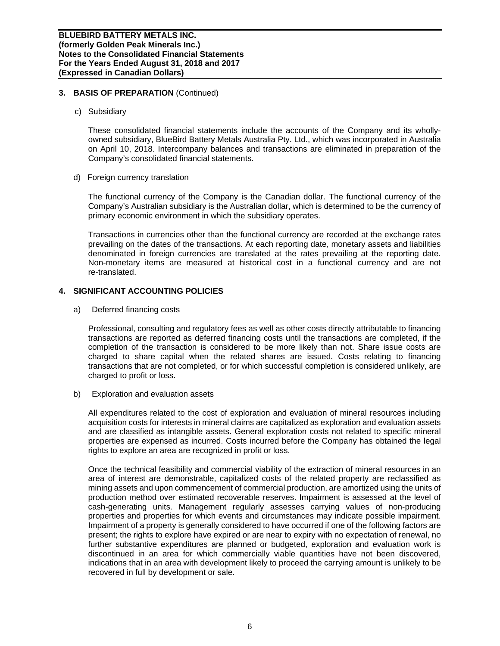### **3. BASIS OF PREPARATION** (Continued)

c) Subsidiary

These consolidated financial statements include the accounts of the Company and its whollyowned subsidiary, BlueBird Battery Metals Australia Pty. Ltd., which was incorporated in Australia on April 10, 2018. Intercompany balances and transactions are eliminated in preparation of the Company's consolidated financial statements.

d) Foreign currency translation

The functional currency of the Company is the Canadian dollar. The functional currency of the Company's Australian subsidiary is the Australian dollar, which is determined to be the currency of primary economic environment in which the subsidiary operates.

Transactions in currencies other than the functional currency are recorded at the exchange rates prevailing on the dates of the transactions. At each reporting date, monetary assets and liabilities denominated in foreign currencies are translated at the rates prevailing at the reporting date. Non-monetary items are measured at historical cost in a functional currency and are not re-translated.

## **4. SIGNIFICANT ACCOUNTING POLICIES**

a) Deferred financing costs

Professional, consulting and regulatory fees as well as other costs directly attributable to financing transactions are reported as deferred financing costs until the transactions are completed, if the completion of the transaction is considered to be more likely than not. Share issue costs are charged to share capital when the related shares are issued. Costs relating to financing transactions that are not completed, or for which successful completion is considered unlikely, are charged to profit or loss.

b) Exploration and evaluation assets

All expenditures related to the cost of exploration and evaluation of mineral resources including acquisition costs for interests in mineral claims are capitalized as exploration and evaluation assets and are classified as intangible assets. General exploration costs not related to specific mineral properties are expensed as incurred. Costs incurred before the Company has obtained the legal rights to explore an area are recognized in profit or loss.

Once the technical feasibility and commercial viability of the extraction of mineral resources in an area of interest are demonstrable, capitalized costs of the related property are reclassified as mining assets and upon commencement of commercial production, are amortized using the units of production method over estimated recoverable reserves. Impairment is assessed at the level of cash-generating units. Management regularly assesses carrying values of non-producing properties and properties for which events and circumstances may indicate possible impairment. Impairment of a property is generally considered to have occurred if one of the following factors are present; the rights to explore have expired or are near to expiry with no expectation of renewal, no further substantive expenditures are planned or budgeted, exploration and evaluation work is discontinued in an area for which commercially viable quantities have not been discovered, indications that in an area with development likely to proceed the carrying amount is unlikely to be recovered in full by development or sale.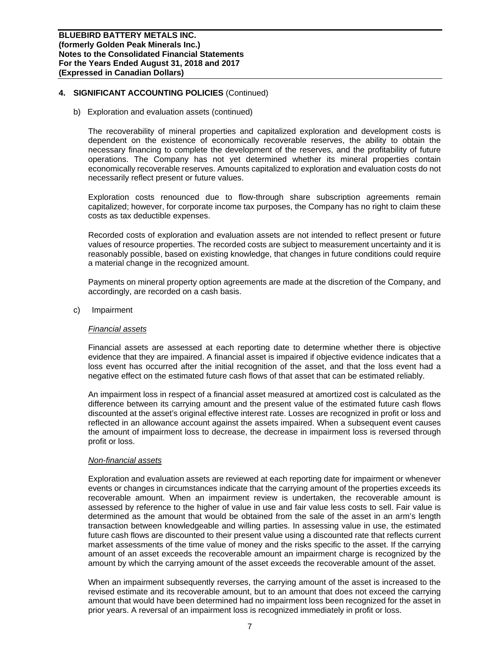b) Exploration and evaluation assets (continued)

The recoverability of mineral properties and capitalized exploration and development costs is dependent on the existence of economically recoverable reserves, the ability to obtain the necessary financing to complete the development of the reserves, and the profitability of future operations. The Company has not yet determined whether its mineral properties contain economically recoverable reserves. Amounts capitalized to exploration and evaluation costs do not necessarily reflect present or future values.

Exploration costs renounced due to flow-through share subscription agreements remain capitalized; however, for corporate income tax purposes, the Company has no right to claim these costs as tax deductible expenses.

Recorded costs of exploration and evaluation assets are not intended to reflect present or future values of resource properties. The recorded costs are subject to measurement uncertainty and it is reasonably possible, based on existing knowledge, that changes in future conditions could require a material change in the recognized amount.

Payments on mineral property option agreements are made at the discretion of the Company, and accordingly, are recorded on a cash basis.

c) Impairment

#### *Financial assets*

Financial assets are assessed at each reporting date to determine whether there is objective evidence that they are impaired. A financial asset is impaired if objective evidence indicates that a loss event has occurred after the initial recognition of the asset, and that the loss event had a negative effect on the estimated future cash flows of that asset that can be estimated reliably.

An impairment loss in respect of a financial asset measured at amortized cost is calculated as the difference between its carrying amount and the present value of the estimated future cash flows discounted at the asset's original effective interest rate. Losses are recognized in profit or loss and reflected in an allowance account against the assets impaired. When a subsequent event causes the amount of impairment loss to decrease, the decrease in impairment loss is reversed through profit or loss.

#### *Non-financial assets*

Exploration and evaluation assets are reviewed at each reporting date for impairment or whenever events or changes in circumstances indicate that the carrying amount of the properties exceeds its recoverable amount. When an impairment review is undertaken, the recoverable amount is assessed by reference to the higher of value in use and fair value less costs to sell. Fair value is determined as the amount that would be obtained from the sale of the asset in an arm's length transaction between knowledgeable and willing parties. In assessing value in use, the estimated future cash flows are discounted to their present value using a discounted rate that reflects current market assessments of the time value of money and the risks specific to the asset. If the carrying amount of an asset exceeds the recoverable amount an impairment charge is recognized by the amount by which the carrying amount of the asset exceeds the recoverable amount of the asset.

When an impairment subsequently reverses, the carrying amount of the asset is increased to the revised estimate and its recoverable amount, but to an amount that does not exceed the carrying amount that would have been determined had no impairment loss been recognized for the asset in prior years. A reversal of an impairment loss is recognized immediately in profit or loss.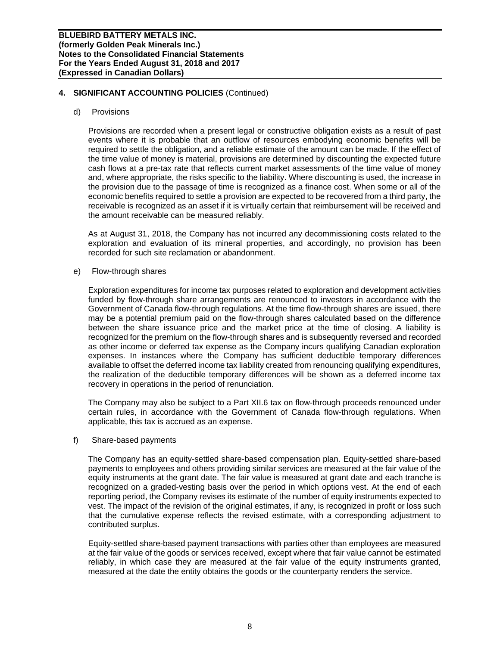#### d) Provisions

Provisions are recorded when a present legal or constructive obligation exists as a result of past events where it is probable that an outflow of resources embodying economic benefits will be required to settle the obligation, and a reliable estimate of the amount can be made. If the effect of the time value of money is material, provisions are determined by discounting the expected future cash flows at a pre-tax rate that reflects current market assessments of the time value of money and, where appropriate, the risks specific to the liability. Where discounting is used, the increase in the provision due to the passage of time is recognized as a finance cost. When some or all of the economic benefits required to settle a provision are expected to be recovered from a third party, the receivable is recognized as an asset if it is virtually certain that reimbursement will be received and the amount receivable can be measured reliably.

As at August 31, 2018, the Company has not incurred any decommissioning costs related to the exploration and evaluation of its mineral properties, and accordingly, no provision has been recorded for such site reclamation or abandonment.

e) Flow-through shares

Exploration expenditures for income tax purposes related to exploration and development activities funded by flow-through share arrangements are renounced to investors in accordance with the Government of Canada flow-through regulations. At the time flow-through shares are issued, there may be a potential premium paid on the flow-through shares calculated based on the difference between the share issuance price and the market price at the time of closing. A liability is recognized for the premium on the flow-through shares and is subsequently reversed and recorded as other income or deferred tax expense as the Company incurs qualifying Canadian exploration expenses. In instances where the Company has sufficient deductible temporary differences available to offset the deferred income tax liability created from renouncing qualifying expenditures, the realization of the deductible temporary differences will be shown as a deferred income tax recovery in operations in the period of renunciation.

The Company may also be subject to a Part XII.6 tax on flow-through proceeds renounced under certain rules, in accordance with the Government of Canada flow-through regulations. When applicable, this tax is accrued as an expense.

#### f) Share-based payments

The Company has an equity-settled share-based compensation plan. Equity-settled share-based payments to employees and others providing similar services are measured at the fair value of the equity instruments at the grant date. The fair value is measured at grant date and each tranche is recognized on a graded-vesting basis over the period in which options vest. At the end of each reporting period, the Company revises its estimate of the number of equity instruments expected to vest. The impact of the revision of the original estimates, if any, is recognized in profit or loss such that the cumulative expense reflects the revised estimate, with a corresponding adjustment to contributed surplus.

Equity-settled share-based payment transactions with parties other than employees are measured at the fair value of the goods or services received, except where that fair value cannot be estimated reliably, in which case they are measured at the fair value of the equity instruments granted, measured at the date the entity obtains the goods or the counterparty renders the service.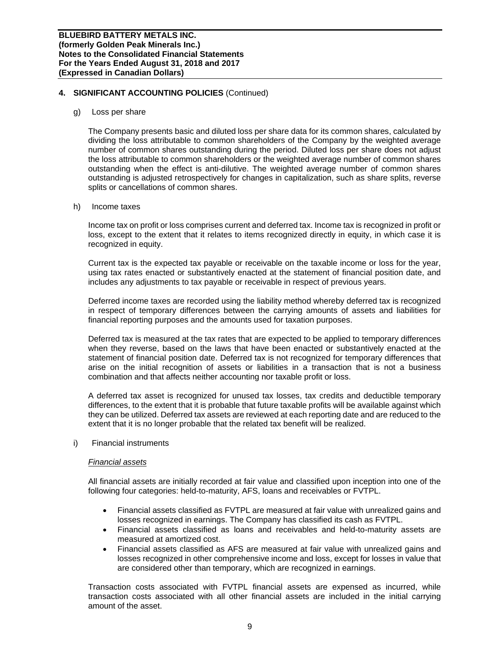## g) Loss per share

The Company presents basic and diluted loss per share data for its common shares, calculated by dividing the loss attributable to common shareholders of the Company by the weighted average number of common shares outstanding during the period. Diluted loss per share does not adjust the loss attributable to common shareholders or the weighted average number of common shares outstanding when the effect is anti-dilutive. The weighted average number of common shares outstanding is adjusted retrospectively for changes in capitalization, such as share splits, reverse splits or cancellations of common shares.

#### h) Income taxes

Income tax on profit or loss comprises current and deferred tax. Income tax is recognized in profit or loss, except to the extent that it relates to items recognized directly in equity, in which case it is recognized in equity.

Current tax is the expected tax payable or receivable on the taxable income or loss for the year, using tax rates enacted or substantively enacted at the statement of financial position date, and includes any adjustments to tax payable or receivable in respect of previous years.

Deferred income taxes are recorded using the liability method whereby deferred tax is recognized in respect of temporary differences between the carrying amounts of assets and liabilities for financial reporting purposes and the amounts used for taxation purposes.

Deferred tax is measured at the tax rates that are expected to be applied to temporary differences when they reverse, based on the laws that have been enacted or substantively enacted at the statement of financial position date. Deferred tax is not recognized for temporary differences that arise on the initial recognition of assets or liabilities in a transaction that is not a business combination and that affects neither accounting nor taxable profit or loss.

A deferred tax asset is recognized for unused tax losses, tax credits and deductible temporary differences, to the extent that it is probable that future taxable profits will be available against which they can be utilized. Deferred tax assets are reviewed at each reporting date and are reduced to the extent that it is no longer probable that the related tax benefit will be realized.

#### i) Financial instruments

### *Financial assets*

All financial assets are initially recorded at fair value and classified upon inception into one of the following four categories: held-to-maturity, AFS, loans and receivables or FVTPL.

- Financial assets classified as FVTPL are measured at fair value with unrealized gains and losses recognized in earnings. The Company has classified its cash as FVTPL.
- Financial assets classified as loans and receivables and held-to-maturity assets are measured at amortized cost.
- Financial assets classified as AFS are measured at fair value with unrealized gains and losses recognized in other comprehensive income and loss, except for losses in value that are considered other than temporary, which are recognized in earnings.

Transaction costs associated with FVTPL financial assets are expensed as incurred, while transaction costs associated with all other financial assets are included in the initial carrying amount of the asset.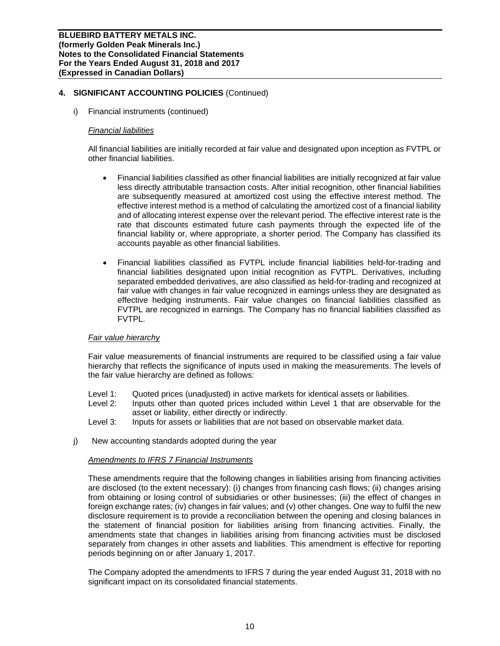i) Financial instruments (continued)

### *Financial liabilities*

All financial liabilities are initially recorded at fair value and designated upon inception as FVTPL or other financial liabilities.

- Financial liabilities classified as other financial liabilities are initially recognized at fair value less directly attributable transaction costs. After initial recognition, other financial liabilities are subsequently measured at amortized cost using the effective interest method. The effective interest method is a method of calculating the amortized cost of a financial liability and of allocating interest expense over the relevant period. The effective interest rate is the rate that discounts estimated future cash payments through the expected life of the financial liability or, where appropriate, a shorter period. The Company has classified its accounts payable as other financial liabilities.
- Financial liabilities classified as FVTPL include financial liabilities held-for-trading and financial liabilities designated upon initial recognition as FVTPL. Derivatives, including separated embedded derivatives, are also classified as held-for-trading and recognized at fair value with changes in fair value recognized in earnings unless they are designated as effective hedging instruments. Fair value changes on financial liabilities classified as FVTPL are recognized in earnings. The Company has no financial liabilities classified as FVTPL.

### *Fair value hierarchy*

Fair value measurements of financial instruments are required to be classified using a fair value hierarchy that reflects the significance of inputs used in making the measurements. The levels of the fair value hierarchy are defined as follows:

- Level 1: Quoted prices (unadjusted) in active markets for identical assets or liabilities.
- Level 2: Inputs other than quoted prices included within Level 1 that are observable for the asset or liability, either directly or indirectly.
- Level 3: Inputs for assets or liabilities that are not based on observable market data.
- j) New accounting standards adopted during the year

### *Amendments to IFRS 7 Financial Instruments*

These amendments require that the following changes in liabilities arising from financing activities are disclosed (to the extent necessary): (i) changes from financing cash flows; (ii) changes arising from obtaining or losing control of subsidiaries or other businesses; (iii) the effect of changes in foreign exchange rates; (iv) changes in fair values; and (v) other changes. One way to fulfil the new disclosure requirement is to provide a reconciliation between the opening and closing balances in the statement of financial position for liabilities arising from financing activities. Finally, the amendments state that changes in liabilities arising from financing activities must be disclosed separately from changes in other assets and liabilities. This amendment is effective for reporting periods beginning on or after January 1, 2017.

The Company adopted the amendments to IFRS 7 during the year ended August 31, 2018 with no significant impact on its consolidated financial statements.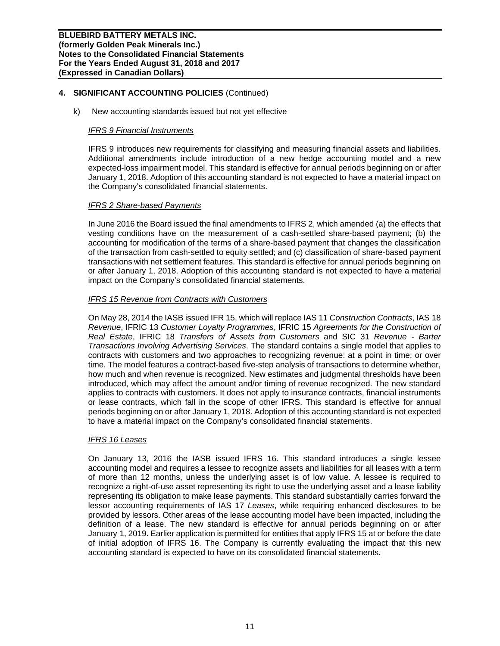## k) New accounting standards issued but not yet effective

### *IFRS 9 Financial Instruments*

IFRS 9 introduces new requirements for classifying and measuring financial assets and liabilities. Additional amendments include introduction of a new hedge accounting model and a new expected-loss impairment model. This standard is effective for annual periods beginning on or after January 1, 2018. Adoption of this accounting standard is not expected to have a material impact on the Company's consolidated financial statements.

## *IFRS 2 Share-based Payments*

In June 2016 the Board issued the final amendments to IFRS 2, which amended (a) the effects that vesting conditions have on the measurement of a cash-settled share-based payment; (b) the accounting for modification of the terms of a share-based payment that changes the classification of the transaction from cash-settled to equity settled; and (c) classification of share-based payment transactions with net settlement features. This standard is effective for annual periods beginning on or after January 1, 2018. Adoption of this accounting standard is not expected to have a material impact on the Company's consolidated financial statements.

## *IFRS 15 Revenue from Contracts with Customers*

On May 28, 2014 the IASB issued IFR 15, which will replace IAS 11 *Construction Contracts*, IAS 18 *Revenue*, IFRIC 13 *Customer Loyalty Programmes*, IFRIC 15 *Agreements for the Construction of Real Estate*, IFRIC 18 *Transfers of Assets from Customers* and SIC 31 *Revenue - Barter Transactions Involving Advertising Services*. The standard contains a single model that applies to contracts with customers and two approaches to recognizing revenue: at a point in time; or over time. The model features a contract-based five-step analysis of transactions to determine whether, how much and when revenue is recognized. New estimates and judgmental thresholds have been introduced, which may affect the amount and/or timing of revenue recognized. The new standard applies to contracts with customers. It does not apply to insurance contracts, financial instruments or lease contracts, which fall in the scope of other IFRS. This standard is effective for annual periods beginning on or after January 1, 2018. Adoption of this accounting standard is not expected to have a material impact on the Company's consolidated financial statements.

### *IFRS 16 Leases*

On January 13, 2016 the IASB issued IFRS 16. This standard introduces a single lessee accounting model and requires a lessee to recognize assets and liabilities for all leases with a term of more than 12 months, unless the underlying asset is of low value. A lessee is required to recognize a right-of-use asset representing its right to use the underlying asset and a lease liability representing its obligation to make lease payments. This standard substantially carries forward the lessor accounting requirements of IAS 17 *Leases*, while requiring enhanced disclosures to be provided by lessors. Other areas of the lease accounting model have been impacted, including the definition of a lease. The new standard is effective for annual periods beginning on or after January 1, 2019. Earlier application is permitted for entities that apply IFRS 15 at or before the date of initial adoption of IFRS 16. The Company is currently evaluating the impact that this new accounting standard is expected to have on its consolidated financial statements.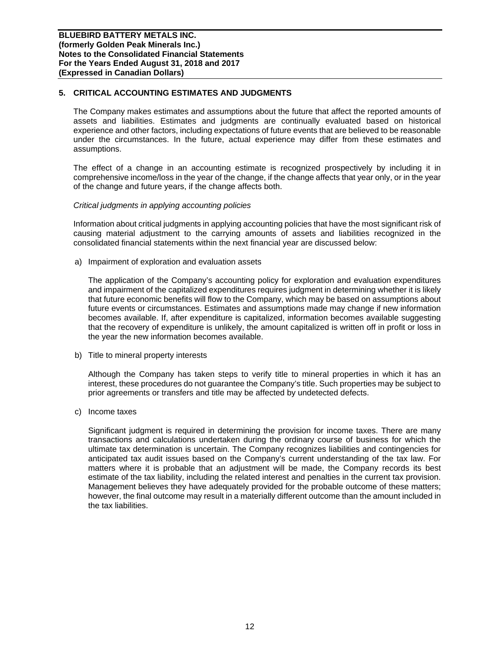## **5. CRITICAL ACCOUNTING ESTIMATES AND JUDGMENTS**

The Company makes estimates and assumptions about the future that affect the reported amounts of assets and liabilities. Estimates and judgments are continually evaluated based on historical experience and other factors, including expectations of future events that are believed to be reasonable under the circumstances. In the future, actual experience may differ from these estimates and assumptions.

The effect of a change in an accounting estimate is recognized prospectively by including it in comprehensive income/loss in the year of the change, if the change affects that year only, or in the year of the change and future years, if the change affects both.

### *Critical judgments in applying accounting policies*

Information about critical judgments in applying accounting policies that have the most significant risk of causing material adjustment to the carrying amounts of assets and liabilities recognized in the consolidated financial statements within the next financial year are discussed below:

a) Impairment of exploration and evaluation assets

The application of the Company's accounting policy for exploration and evaluation expenditures and impairment of the capitalized expenditures requires judgment in determining whether it is likely that future economic benefits will flow to the Company, which may be based on assumptions about future events or circumstances. Estimates and assumptions made may change if new information becomes available. If, after expenditure is capitalized, information becomes available suggesting that the recovery of expenditure is unlikely, the amount capitalized is written off in profit or loss in the year the new information becomes available.

b) Title to mineral property interests

Although the Company has taken steps to verify title to mineral properties in which it has an interest, these procedures do not guarantee the Company's title. Such properties may be subject to prior agreements or transfers and title may be affected by undetected defects.

c) Income taxes

Significant judgment is required in determining the provision for income taxes. There are many transactions and calculations undertaken during the ordinary course of business for which the ultimate tax determination is uncertain. The Company recognizes liabilities and contingencies for anticipated tax audit issues based on the Company's current understanding of the tax law. For matters where it is probable that an adjustment will be made, the Company records its best estimate of the tax liability, including the related interest and penalties in the current tax provision. Management believes they have adequately provided for the probable outcome of these matters; however, the final outcome may result in a materially different outcome than the amount included in the tax liabilities.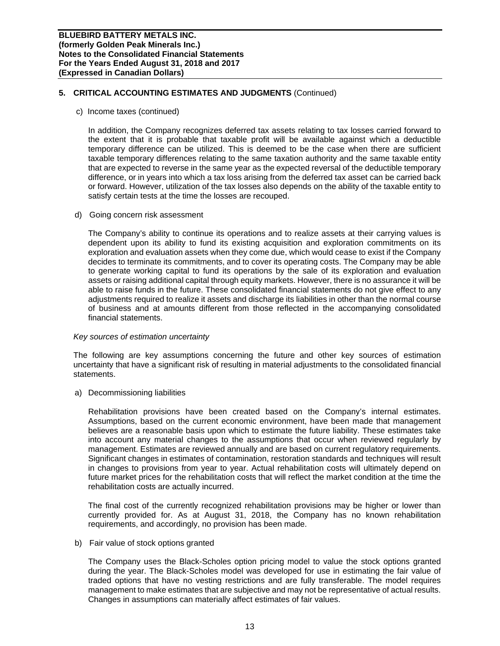## **5. CRITICAL ACCOUNTING ESTIMATES AND JUDGMENTS** (Continued)

#### c) Income taxes (continued)

In addition, the Company recognizes deferred tax assets relating to tax losses carried forward to the extent that it is probable that taxable profit will be available against which a deductible temporary difference can be utilized. This is deemed to be the case when there are sufficient taxable temporary differences relating to the same taxation authority and the same taxable entity that are expected to reverse in the same year as the expected reversal of the deductible temporary difference, or in years into which a tax loss arising from the deferred tax asset can be carried back or forward. However, utilization of the tax losses also depends on the ability of the taxable entity to satisfy certain tests at the time the losses are recouped.

#### d) Going concern risk assessment

The Company's ability to continue its operations and to realize assets at their carrying values is dependent upon its ability to fund its existing acquisition and exploration commitments on its exploration and evaluation assets when they come due, which would cease to exist if the Company decides to terminate its commitments, and to cover its operating costs. The Company may be able to generate working capital to fund its operations by the sale of its exploration and evaluation assets or raising additional capital through equity markets. However, there is no assurance it will be able to raise funds in the future. These consolidated financial statements do not give effect to any adjustments required to realize it assets and discharge its liabilities in other than the normal course of business and at amounts different from those reflected in the accompanying consolidated financial statements.

### *Key sources of estimation uncertainty*

The following are key assumptions concerning the future and other key sources of estimation uncertainty that have a significant risk of resulting in material adjustments to the consolidated financial statements.

a) Decommissioning liabilities

Rehabilitation provisions have been created based on the Company's internal estimates. Assumptions, based on the current economic environment, have been made that management believes are a reasonable basis upon which to estimate the future liability. These estimates take into account any material changes to the assumptions that occur when reviewed regularly by management. Estimates are reviewed annually and are based on current regulatory requirements. Significant changes in estimates of contamination, restoration standards and techniques will result in changes to provisions from year to year. Actual rehabilitation costs will ultimately depend on future market prices for the rehabilitation costs that will reflect the market condition at the time the rehabilitation costs are actually incurred.

The final cost of the currently recognized rehabilitation provisions may be higher or lower than currently provided for. As at August 31, 2018, the Company has no known rehabilitation requirements, and accordingly, no provision has been made.

b) Fair value of stock options granted

The Company uses the Black-Scholes option pricing model to value the stock options granted during the year. The Black-Scholes model was developed for use in estimating the fair value of traded options that have no vesting restrictions and are fully transferable. The model requires management to make estimates that are subjective and may not be representative of actual results. Changes in assumptions can materially affect estimates of fair values.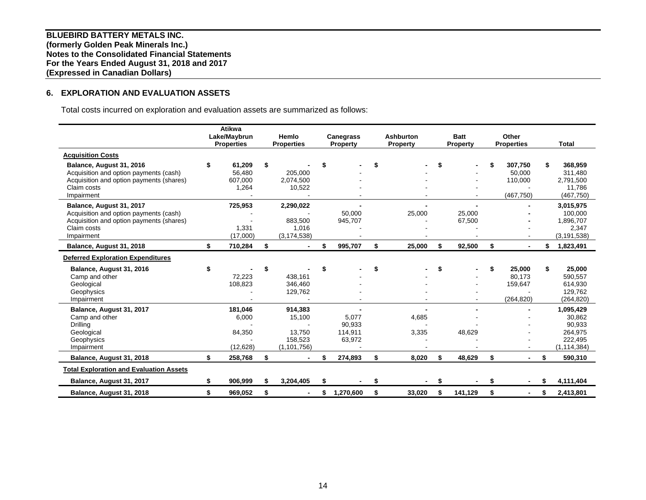### **6. EXPLORATION AND EVALUATION ASSETS**

Total costs incurred on exploration and evaluation assets are summarized as follows:

|                                                                                                                                             | <b>Atikwa</b><br>Lake/Maybrun<br><b>Properties</b> | Hemlo<br><b>Properties</b>                              | <b>Canegrass</b><br>Property         | <b>Ashburton</b><br>Property |    | <b>Batt</b><br>Property | Other<br><b>Properties</b>                      |    | <b>Total</b>                                                         |
|---------------------------------------------------------------------------------------------------------------------------------------------|----------------------------------------------------|---------------------------------------------------------|--------------------------------------|------------------------------|----|-------------------------|-------------------------------------------------|----|----------------------------------------------------------------------|
| <b>Acquisition Costs</b>                                                                                                                    |                                                    |                                                         |                                      |                              |    |                         |                                                 |    |                                                                      |
| Balance, August 31, 2016<br>Acquisition and option payments (cash)<br>Acquisition and option payments (shares)<br>Claim costs<br>Impairment | \$<br>61.209<br>56,480<br>607,000<br>1,264         | \$<br>205.000<br>2,074,500<br>10,522                    | \$                                   | \$                           | S  |                         | 307.750<br>50,000<br>110,000<br>(467, 750)      | \$ | 368.959<br>311,480<br>2,791,500<br>11,786<br>(467, 750)              |
| Balance, August 31, 2017<br>Acquisition and option payments (cash)<br>Acquisition and option payments (shares)<br>Claim costs<br>Impairment | 725,953<br>1,331<br>(17,000)                       | 2,290,022<br>883,500<br>1,016<br>(3, 174, 538)          | 50,000<br>945,707                    | 25,000                       |    | 25,000<br>67,500        |                                                 |    | 3,015,975<br>100,000<br>1,896,707<br>2,347<br>(3, 191, 538)          |
| Balance, August 31, 2018                                                                                                                    | \$<br>710,284                                      | \$                                                      | \$<br>995,707                        | \$<br>25,000                 | \$ | 92,500                  | \$                                              | \$ | 1,823,491                                                            |
| <b>Deferred Exploration Expenditures</b>                                                                                                    |                                                    |                                                         |                                      |                              |    |                         |                                                 |    |                                                                      |
| Balance, August 31, 2016<br>Camp and other<br>Geological<br>Geophysics<br>Impairment                                                        | 72,223<br>108,823                                  | \$<br>438,161<br>346,460<br>129,762                     | \$                                   | \$                           | \$ |                         | \$<br>25,000<br>80,173<br>159,647<br>(264, 820) | \$ | 25,000<br>590,557<br>614,930<br>129,762<br>(264, 820)                |
| Balance, August 31, 2017<br>Camp and other<br>Drilling<br>Geological<br>Geophysics<br>Impairment                                            | 181,046<br>6,000<br>84,350<br>(12.628)             | 914,383<br>15,100<br>13,750<br>158,523<br>(1, 101, 756) | 5,077<br>90,933<br>114,911<br>63,972 | 4,685<br>3,335               |    | 48,629                  |                                                 |    | 1,095,429<br>30,862<br>90,933<br>264,975<br>222,495<br>(1, 114, 384) |
| Balance, August 31, 2018                                                                                                                    | \$<br>258,768                                      | \$                                                      | \$<br>274,893                        | \$<br>8,020                  | \$ | 48,629                  | \$                                              | \$ | 590,310                                                              |
| <b>Total Exploration and Evaluation Assets</b>                                                                                              |                                                    |                                                         |                                      |                              |    |                         |                                                 |    |                                                                      |
| Balance, August 31, 2017                                                                                                                    | \$<br>906,999                                      | 3,204,405                                               | \$                                   | \$<br>$\blacksquare$         |    |                         | $\blacksquare$                                  | S  | 4,111,404                                                            |
| Balance, August 31, 2018                                                                                                                    | \$<br>969,052                                      | \$                                                      | \$<br>1,270,600                      | \$<br>33,020                 | \$ | 141,129                 | \$                                              | S  | 2,413,801                                                            |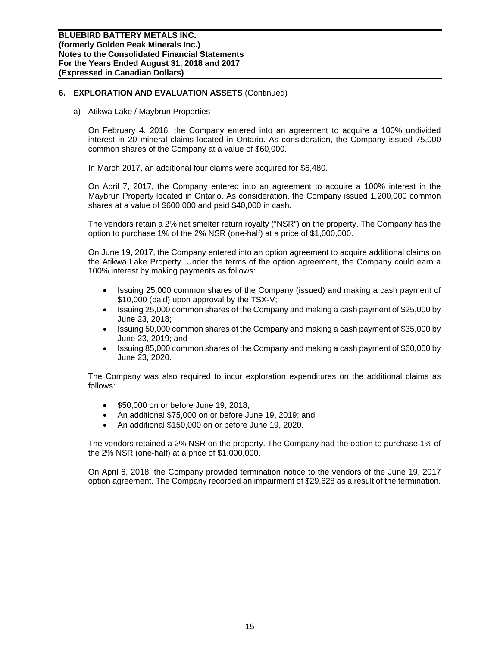a) Atikwa Lake / Maybrun Properties

On February 4, 2016, the Company entered into an agreement to acquire a 100% undivided interest in 20 mineral claims located in Ontario. As consideration, the Company issued 75,000 common shares of the Company at a value of \$60,000.

In March 2017, an additional four claims were acquired for \$6,480.

On April 7, 2017, the Company entered into an agreement to acquire a 100% interest in the Maybrun Property located in Ontario. As consideration, the Company issued 1,200,000 common shares at a value of \$600,000 and paid \$40,000 in cash.

The vendors retain a 2% net smelter return royalty ("NSR") on the property. The Company has the option to purchase 1% of the 2% NSR (one-half) at a price of \$1,000,000.

On June 19, 2017, the Company entered into an option agreement to acquire additional claims on the Atikwa Lake Property. Under the terms of the option agreement, the Company could earn a 100% interest by making payments as follows:

- Issuing 25,000 common shares of the Company (issued) and making a cash payment of \$10,000 (paid) upon approval by the TSX-V;
- Issuing 25,000 common shares of the Company and making a cash payment of \$25,000 by June 23, 2018;
- Issuing 50,000 common shares of the Company and making a cash payment of \$35,000 by June 23, 2019; and
- Issuing 85,000 common shares of the Company and making a cash payment of \$60,000 by June 23, 2020.

The Company was also required to incur exploration expenditures on the additional claims as follows:

- **•** \$50,000 on or before June 19, 2018;
- An additional \$75,000 on or before June 19, 2019; and
- An additional \$150,000 on or before June 19, 2020.

The vendors retained a 2% NSR on the property. The Company had the option to purchase 1% of the 2% NSR (one-half) at a price of \$1,000,000.

On April 6, 2018, the Company provided termination notice to the vendors of the June 19, 2017 option agreement. The Company recorded an impairment of \$29,628 as a result of the termination.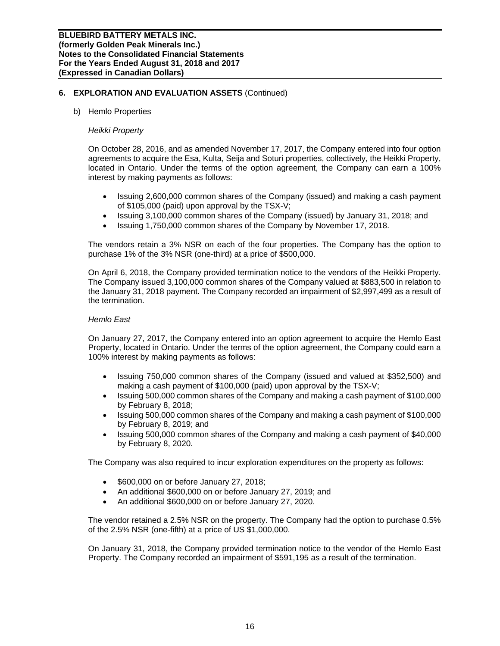#### b) Hemlo Properties

#### *Heikki Property*

On October 28, 2016, and as amended November 17, 2017, the Company entered into four option agreements to acquire the Esa, Kulta, Seija and Soturi properties, collectively, the Heikki Property, located in Ontario. Under the terms of the option agreement, the Company can earn a 100% interest by making payments as follows:

- Issuing 2,600,000 common shares of the Company (issued) and making a cash payment of \$105,000 (paid) upon approval by the TSX-V;
- Issuing 3,100,000 common shares of the Company (issued) by January 31, 2018; and
- Issuing 1,750,000 common shares of the Company by November 17, 2018.

The vendors retain a 3% NSR on each of the four properties. The Company has the option to purchase 1% of the 3% NSR (one-third) at a price of \$500,000.

On April 6, 2018, the Company provided termination notice to the vendors of the Heikki Property. The Company issued 3,100,000 common shares of the Company valued at \$883,500 in relation to the January 31, 2018 payment. The Company recorded an impairment of \$2,997,499 as a result of the termination.

### *Hemlo East*

On January 27, 2017, the Company entered into an option agreement to acquire the Hemlo East Property, located in Ontario. Under the terms of the option agreement, the Company could earn a 100% interest by making payments as follows:

- Issuing 750,000 common shares of the Company (issued and valued at \$352,500) and making a cash payment of \$100,000 (paid) upon approval by the TSX-V;
- Issuing 500,000 common shares of the Company and making a cash payment of \$100,000 by February 8, 2018;
- Issuing 500,000 common shares of the Company and making a cash payment of \$100,000 by February 8, 2019; and
- Issuing 500,000 common shares of the Company and making a cash payment of \$40,000 by February 8, 2020.

The Company was also required to incur exploration expenditures on the property as follows:

- **•** \$600,000 on or before January 27, 2018;
- An additional \$600,000 on or before January 27, 2019; and
- An additional \$600,000 on or before January 27, 2020.

The vendor retained a 2.5% NSR on the property. The Company had the option to purchase 0.5% of the 2.5% NSR (one-fifth) at a price of US \$1,000,000.

On January 31, 2018, the Company provided termination notice to the vendor of the Hemlo East Property. The Company recorded an impairment of \$591,195 as a result of the termination.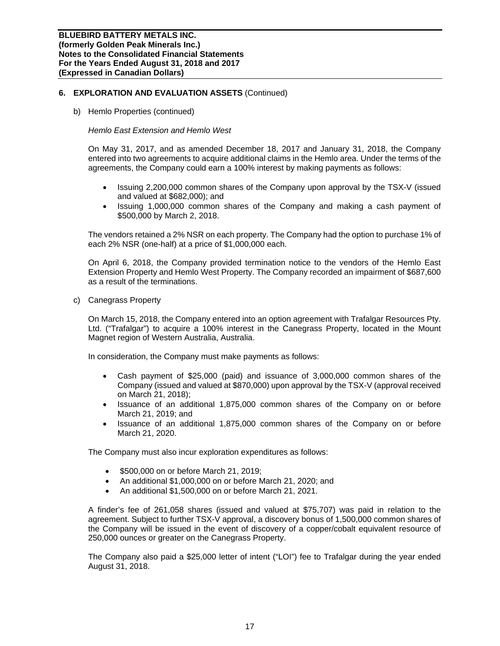b) Hemlo Properties (continued)

#### *Hemlo East Extension and Hemlo West*

On May 31, 2017, and as amended December 18, 2017 and January 31, 2018, the Company entered into two agreements to acquire additional claims in the Hemlo area. Under the terms of the agreements, the Company could earn a 100% interest by making payments as follows:

- Issuing 2,200,000 common shares of the Company upon approval by the TSX-V (issued and valued at \$682,000); and
- Issuing 1,000,000 common shares of the Company and making a cash payment of \$500,000 by March 2, 2018.

The vendors retained a 2% NSR on each property. The Company had the option to purchase 1% of each 2% NSR (one-half) at a price of \$1,000,000 each.

On April 6, 2018, the Company provided termination notice to the vendors of the Hemlo East Extension Property and Hemlo West Property. The Company recorded an impairment of \$687,600 as a result of the terminations.

c) Canegrass Property

On March 15, 2018, the Company entered into an option agreement with Trafalgar Resources Pty. Ltd. ("Trafalgar") to acquire a 100% interest in the Canegrass Property, located in the Mount Magnet region of Western Australia, Australia.

In consideration, the Company must make payments as follows:

- Cash payment of \$25,000 (paid) and issuance of 3,000,000 common shares of the Company (issued and valued at \$870,000) upon approval by the TSX-V (approval received on March 21, 2018);
- Issuance of an additional 1,875,000 common shares of the Company on or before March 21, 2019; and
- Issuance of an additional 1,875,000 common shares of the Company on or before March 21, 2020.

The Company must also incur exploration expenditures as follows:

- **\$500,000 on or before March 21, 2019;**
- An additional \$1,000,000 on or before March 21, 2020; and
- An additional \$1,500,000 on or before March 21, 2021.

A finder's fee of 261,058 shares (issued and valued at \$75,707) was paid in relation to the agreement. Subject to further TSX-V approval, a discovery bonus of 1,500,000 common shares of the Company will be issued in the event of discovery of a copper/cobalt equivalent resource of 250,000 ounces or greater on the Canegrass Property.

The Company also paid a \$25,000 letter of intent ("LOI") fee to Trafalgar during the year ended August 31, 2018.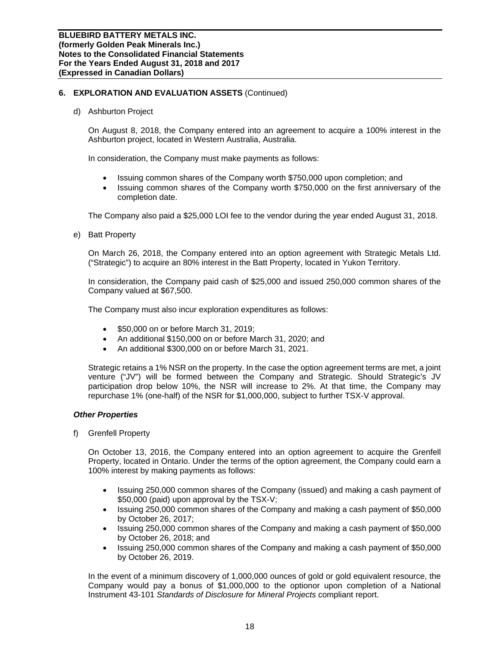d) Ashburton Project

On August 8, 2018, the Company entered into an agreement to acquire a 100% interest in the Ashburton project, located in Western Australia, Australia.

In consideration, the Company must make payments as follows:

- Issuing common shares of the Company worth \$750,000 upon completion; and
- Issuing common shares of the Company worth \$750,000 on the first anniversary of the completion date.

The Company also paid a \$25,000 LOI fee to the vendor during the year ended August 31, 2018.

e) Batt Property

On March 26, 2018, the Company entered into an option agreement with Strategic Metals Ltd. ("Strategic") to acquire an 80% interest in the Batt Property, located in Yukon Territory.

In consideration, the Company paid cash of \$25,000 and issued 250,000 common shares of the Company valued at \$67,500.

The Company must also incur exploration expenditures as follows:

- **•** \$50,000 on or before March 31, 2019;
- An additional \$150,000 on or before March 31, 2020; and
- An additional \$300,000 on or before March 31, 2021.

Strategic retains a 1% NSR on the property. In the case the option agreement terms are met, a joint venture ("JV") will be formed between the Company and Strategic. Should Strategic's JV participation drop below 10%, the NSR will increase to 2%. At that time, the Company may repurchase 1% (one-half) of the NSR for \$1,000,000, subject to further TSX-V approval.

#### *Other Properties*

f) Grenfell Property

On October 13, 2016, the Company entered into an option agreement to acquire the Grenfell Property, located in Ontario. Under the terms of the option agreement, the Company could earn a 100% interest by making payments as follows:

- Issuing 250,000 common shares of the Company (issued) and making a cash payment of \$50,000 (paid) upon approval by the TSX-V;
- Issuing 250,000 common shares of the Company and making a cash payment of \$50,000 by October 26, 2017;
- Issuing 250,000 common shares of the Company and making a cash payment of \$50,000 by October 26, 2018; and
- Issuing 250,000 common shares of the Company and making a cash payment of \$50,000 by October 26, 2019.

In the event of a minimum discovery of 1,000,000 ounces of gold or gold equivalent resource, the Company would pay a bonus of \$1,000,000 to the optionor upon completion of a National Instrument 43-101 *Standards of Disclosure for Mineral Projects* compliant report.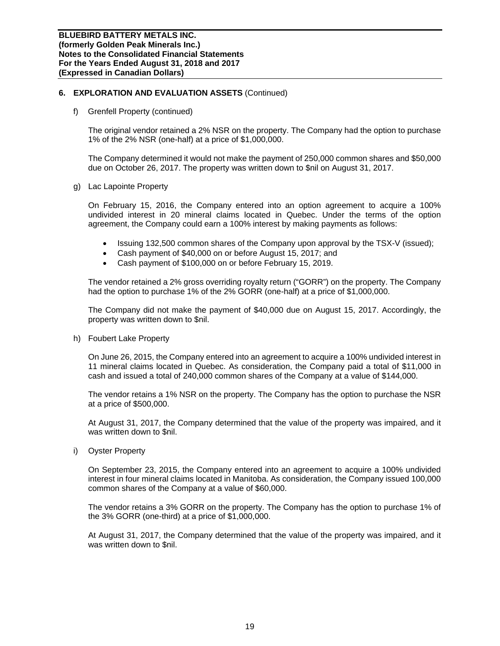f) Grenfell Property (continued)

The original vendor retained a 2% NSR on the property. The Company had the option to purchase 1% of the 2% NSR (one-half) at a price of \$1,000,000.

The Company determined it would not make the payment of 250,000 common shares and \$50,000 due on October 26, 2017. The property was written down to \$nil on August 31, 2017.

g) Lac Lapointe Property

On February 15, 2016, the Company entered into an option agreement to acquire a 100% undivided interest in 20 mineral claims located in Quebec. Under the terms of the option agreement, the Company could earn a 100% interest by making payments as follows:

- Issuing 132,500 common shares of the Company upon approval by the TSX-V (issued);
- Cash payment of \$40,000 on or before August 15, 2017; and
- Cash payment of \$100,000 on or before February 15, 2019.

The vendor retained a 2% gross overriding royalty return ("GORR") on the property. The Company had the option to purchase 1% of the 2% GORR (one-half) at a price of \$1,000,000.

The Company did not make the payment of \$40,000 due on August 15, 2017. Accordingly, the property was written down to \$nil.

h) Foubert Lake Property

On June 26, 2015, the Company entered into an agreement to acquire a 100% undivided interest in 11 mineral claims located in Quebec. As consideration, the Company paid a total of \$11,000 in cash and issued a total of 240,000 common shares of the Company at a value of \$144,000.

The vendor retains a 1% NSR on the property. The Company has the option to purchase the NSR at a price of \$500,000.

At August 31, 2017, the Company determined that the value of the property was impaired, and it was written down to \$nil.

i) Oyster Property

On September 23, 2015, the Company entered into an agreement to acquire a 100% undivided interest in four mineral claims located in Manitoba. As consideration, the Company issued 100,000 common shares of the Company at a value of \$60,000.

The vendor retains a 3% GORR on the property. The Company has the option to purchase 1% of the 3% GORR (one-third) at a price of \$1,000,000.

At August 31, 2017, the Company determined that the value of the property was impaired, and it was written down to \$nil.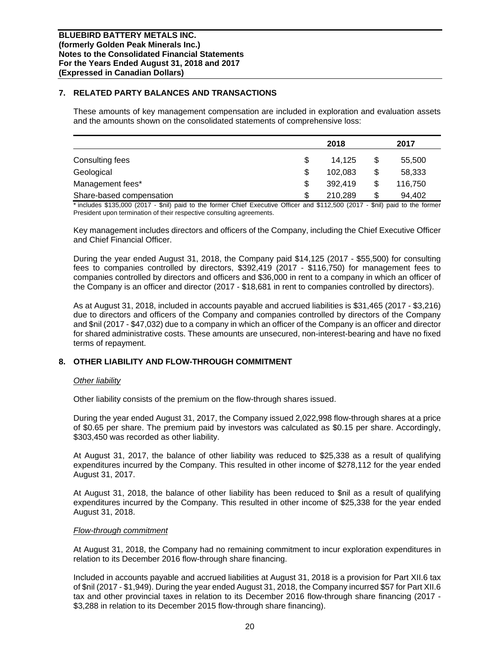### **7. RELATED PARTY BALANCES AND TRANSACTIONS**

These amounts of key management compensation are included in exploration and evaluation assets and the amounts shown on the consolidated statements of comprehensive loss:

|                          | 2018          | 2017          |
|--------------------------|---------------|---------------|
| Consulting fees          | \$<br>14.125  | \$<br>55,500  |
| Geological               | \$<br>102.083 | \$<br>58,333  |
| Management fees*         | \$<br>392,419 | \$<br>116,750 |
| Share-based compensation | 210.289       | \$<br>94,402  |

\* includes \$135,000 (2017 - \$nil) paid to the former Chief Executive Officer and \$112,500 (2017 - \$nil) paid to the former President upon termination of their respective consulting agreements.

Key management includes directors and officers of the Company, including the Chief Executive Officer and Chief Financial Officer.

During the year ended August 31, 2018, the Company paid \$14,125 (2017 - \$55,500) for consulting fees to companies controlled by directors, \$392,419 (2017 - \$116,750) for management fees to companies controlled by directors and officers and \$36,000 in rent to a company in which an officer of the Company is an officer and director (2017 - \$18,681 in rent to companies controlled by directors).

As at August 31, 2018, included in accounts payable and accrued liabilities is \$31,465 (2017 - \$3,216) due to directors and officers of the Company and companies controlled by directors of the Company and \$nil (2017 - \$47,032) due to a company in which an officer of the Company is an officer and director for shared administrative costs. These amounts are unsecured, non-interest-bearing and have no fixed terms of repayment.

# **8. OTHER LIABILITY AND FLOW-THROUGH COMMITMENT**

### *Other liability*

Other liability consists of the premium on the flow-through shares issued.

During the year ended August 31, 2017, the Company issued 2,022,998 flow-through shares at a price of \$0.65 per share. The premium paid by investors was calculated as \$0.15 per share. Accordingly, \$303,450 was recorded as other liability.

At August 31, 2017, the balance of other liability was reduced to \$25,338 as a result of qualifying expenditures incurred by the Company. This resulted in other income of \$278,112 for the year ended August 31, 2017.

At August 31, 2018, the balance of other liability has been reduced to \$nil as a result of qualifying expenditures incurred by the Company. This resulted in other income of \$25,338 for the year ended August 31, 2018.

### *Flow-through commitment*

At August 31, 2018, the Company had no remaining commitment to incur exploration expenditures in relation to its December 2016 flow-through share financing.

Included in accounts payable and accrued liabilities at August 31, 2018 is a provision for Part XII.6 tax of \$nil (2017 - \$1,949). During the year ended August 31, 2018, the Company incurred \$57 for Part XII.6 tax and other provincial taxes in relation to its December 2016 flow-through share financing (2017 - \$3,288 in relation to its December 2015 flow-through share financing).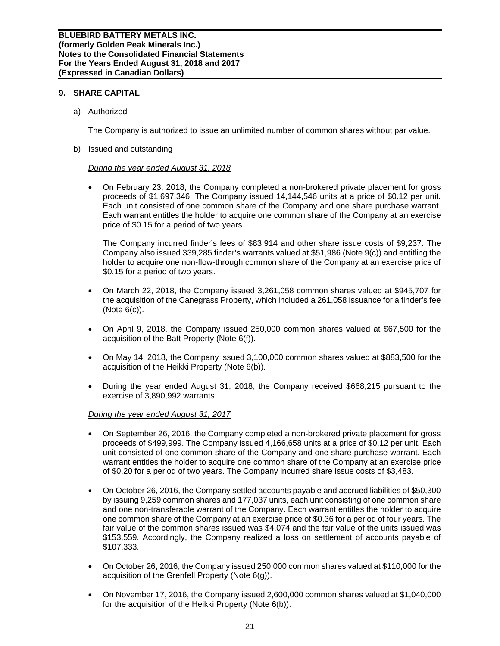## **9. SHARE CAPITAL**

a) Authorized

The Company is authorized to issue an unlimited number of common shares without par value.

b) Issued and outstanding

#### *During the year ended August 31, 2018*

 On February 23, 2018, the Company completed a non-brokered private placement for gross proceeds of \$1,697,346. The Company issued 14,144,546 units at a price of \$0.12 per unit. Each unit consisted of one common share of the Company and one share purchase warrant. Each warrant entitles the holder to acquire one common share of the Company at an exercise price of \$0.15 for a period of two years.

The Company incurred finder's fees of \$83,914 and other share issue costs of \$9,237. The Company also issued 339,285 finder's warrants valued at \$51,986 (Note 9(c)) and entitling the holder to acquire one non-flow-through common share of the Company at an exercise price of \$0.15 for a period of two years.

- On March 22, 2018, the Company issued 3,261,058 common shares valued at \$945,707 for the acquisition of the Canegrass Property, which included a 261,058 issuance for a finder's fee (Note 6(c)).
- On April 9, 2018, the Company issued 250,000 common shares valued at \$67,500 for the acquisition of the Batt Property (Note 6(f)).
- On May 14, 2018, the Company issued 3,100,000 common shares valued at \$883,500 for the acquisition of the Heikki Property (Note 6(b)).
- During the year ended August 31, 2018, the Company received \$668,215 pursuant to the exercise of 3,890,992 warrants.

### *During the year ended August 31, 2017*

- On September 26, 2016, the Company completed a non-brokered private placement for gross proceeds of \$499,999. The Company issued 4,166,658 units at a price of \$0.12 per unit. Each unit consisted of one common share of the Company and one share purchase warrant. Each warrant entitles the holder to acquire one common share of the Company at an exercise price of \$0.20 for a period of two years. The Company incurred share issue costs of \$3,483.
- On October 26, 2016, the Company settled accounts payable and accrued liabilities of \$50,300 by issuing 9,259 common shares and 177,037 units, each unit consisting of one common share and one non-transferable warrant of the Company. Each warrant entitles the holder to acquire one common share of the Company at an exercise price of \$0.36 for a period of four years. The fair value of the common shares issued was \$4,074 and the fair value of the units issued was \$153,559. Accordingly, the Company realized a loss on settlement of accounts payable of \$107,333.
- On October 26, 2016, the Company issued 250,000 common shares valued at \$110,000 for the acquisition of the Grenfell Property (Note 6(g)).
- On November 17, 2016, the Company issued 2,600,000 common shares valued at \$1,040,000 for the acquisition of the Heikki Property (Note 6(b)).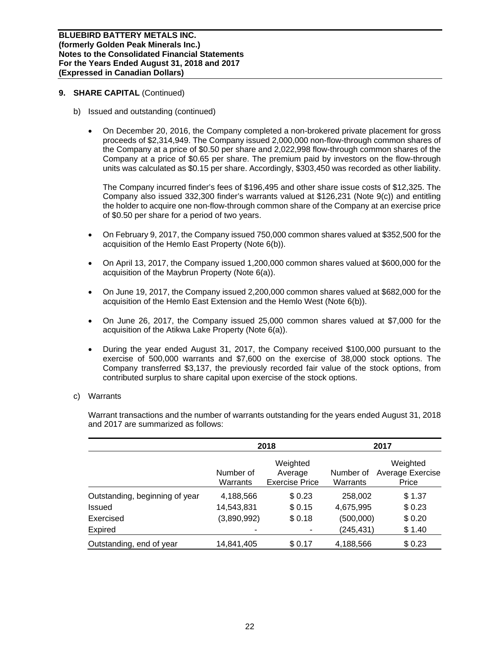**BLUEBIRD BATTERY METALS INC. (formerly Golden Peak Minerals Inc.) Notes to the Consolidated Financial Statements For the Years Ended August 31, 2018 and 2017 (Expressed in Canadian Dollars)** 

## **9. SHARE CAPITAL (Continued)**

- b) Issued and outstanding (continued)
	- On December 20, 2016, the Company completed a non-brokered private placement for gross proceeds of \$2,314,949. The Company issued 2,000,000 non-flow-through common shares of the Company at a price of \$0.50 per share and 2,022,998 flow-through common shares of the Company at a price of \$0.65 per share. The premium paid by investors on the flow-through units was calculated as \$0.15 per share. Accordingly, \$303,450 was recorded as other liability.

The Company incurred finder's fees of \$196,495 and other share issue costs of \$12,325. The Company also issued 332,300 finder's warrants valued at \$126,231 (Note 9(c)) and entitling the holder to acquire one non-flow-through common share of the Company at an exercise price of \$0.50 per share for a period of two years.

- On February 9, 2017, the Company issued 750,000 common shares valued at \$352,500 for the acquisition of the Hemlo East Property (Note 6(b)).
- On April 13, 2017, the Company issued 1,200,000 common shares valued at \$600,000 for the acquisition of the Maybrun Property (Note 6(a)).
- On June 19, 2017, the Company issued 2,200,000 common shares valued at \$682,000 for the acquisition of the Hemlo East Extension and the Hemlo West (Note 6(b)).
- On June 26, 2017, the Company issued 25,000 common shares valued at \$7,000 for the acquisition of the Atikwa Lake Property (Note 6(a)).
- During the year ended August 31, 2017, the Company received \$100,000 pursuant to the exercise of 500,000 warrants and \$7,600 on the exercise of 38,000 stock options. The Company transferred \$3,137, the previously recorded fair value of the stock options, from contributed surplus to share capital upon exercise of the stock options.

### c) Warrants

Warrant transactions and the number of warrants outstanding for the years ended August 31, 2018 and 2017 are summarized as follows:

|                                |                       | 2018                                         | 2017                  |                                       |  |  |
|--------------------------------|-----------------------|----------------------------------------------|-----------------------|---------------------------------------|--|--|
|                                | Number of<br>Warrants | Weighted<br>Average<br><b>Exercise Price</b> | Number of<br>Warrants | Weighted<br>Average Exercise<br>Price |  |  |
| Outstanding, beginning of year | 4,188,566             | \$0.23                                       | 258,002               | \$1.37                                |  |  |
| <b>Issued</b>                  | 14,543,831            | \$0.15                                       | 4,675,995             | \$0.23                                |  |  |
| Exercised                      | (3,890,992)           | \$0.18                                       | (500,000)             | \$0.20                                |  |  |
| Expired                        | ۰                     |                                              | (245, 431)            | \$1.40                                |  |  |
| Outstanding, end of year       | 14,841,405            | \$0.17                                       | 4,188,566             | \$0.23                                |  |  |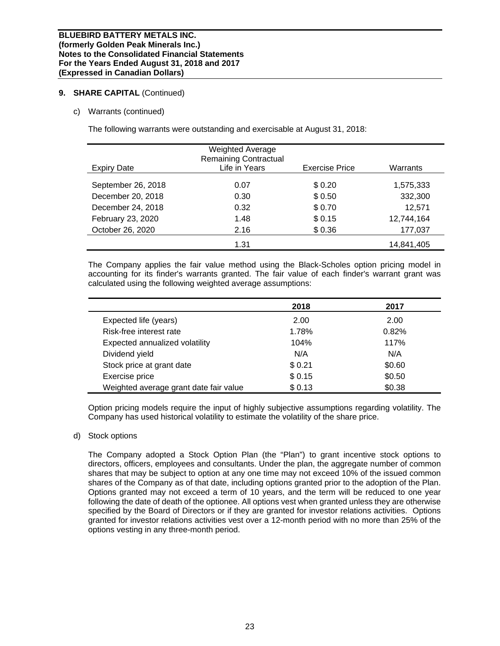### **BLUEBIRD BATTERY METALS INC. (formerly Golden Peak Minerals Inc.) Notes to the Consolidated Financial Statements For the Years Ended August 31, 2018 and 2017 (Expressed in Canadian Dollars)**

# **9. SHARE CAPITAL (Continued)**

# c) Warrants (continued)

The following warrants were outstanding and exercisable at August 31, 2018:

| Expiry Date        | <b>Weighted Average</b><br><b>Remaining Contractual</b><br>Life in Years | <b>Exercise Price</b> | Warrants   |
|--------------------|--------------------------------------------------------------------------|-----------------------|------------|
| September 26, 2018 | 0.07                                                                     | \$0.20                | 1,575,333  |
| December 20, 2018  | 0.30                                                                     | \$0.50                | 332,300    |
| December 24, 2018  | 0.32                                                                     | \$0.70                | 12.571     |
| February 23, 2020  | 1.48                                                                     | \$0.15                | 12,744,164 |
| October 26, 2020   | 2.16                                                                     | \$0.36                | 177,037    |
|                    | 1.31                                                                     |                       | 14,841,405 |

The Company applies the fair value method using the Black-Scholes option pricing model in accounting for its finder's warrants granted. The fair value of each finder's warrant grant was calculated using the following weighted average assumptions:

|                                        | 2018   | 2017   |
|----------------------------------------|--------|--------|
| Expected life (years)                  | 2.00   | 2.00   |
| Risk-free interest rate                | 1.78%  | 0.82%  |
| Expected annualized volatility         | 104%   | 117%   |
| Dividend yield                         | N/A    | N/A    |
| Stock price at grant date              | \$0.21 | \$0.60 |
| Exercise price                         | \$0.15 | \$0.50 |
| Weighted average grant date fair value | \$0.13 | \$0.38 |

Option pricing models require the input of highly subjective assumptions regarding volatility. The Company has used historical volatility to estimate the volatility of the share price.

### d) Stock options

The Company adopted a Stock Option Plan (the "Plan") to grant incentive stock options to directors, officers, employees and consultants. Under the plan, the aggregate number of common shares that may be subject to option at any one time may not exceed 10% of the issued common shares of the Company as of that date, including options granted prior to the adoption of the Plan. Options granted may not exceed a term of 10 years, and the term will be reduced to one year following the date of death of the optionee. All options vest when granted unless they are otherwise specified by the Board of Directors or if they are granted for investor relations activities. Options granted for investor relations activities vest over a 12-month period with no more than 25% of the options vesting in any three-month period.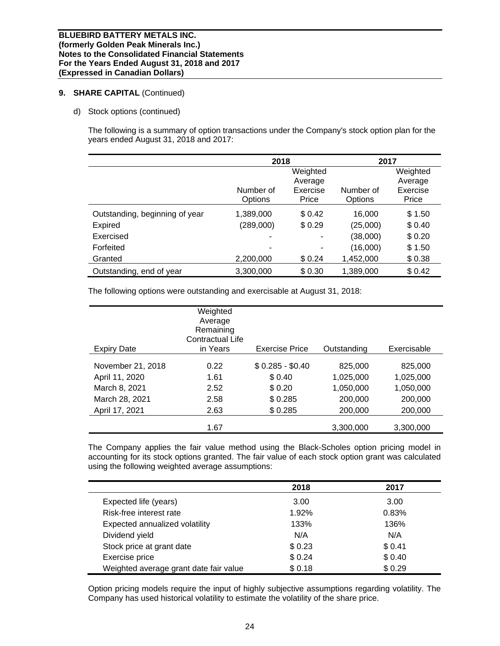## **9. SHARE CAPITAL (Continued)**

d) Stock options (continued)

The following is a summary of option transactions under the Company's stock option plan for the years ended August 31, 2018 and 2017:

|                                | 2018      |          | 2017      |          |  |
|--------------------------------|-----------|----------|-----------|----------|--|
|                                |           | Weighted |           | Weighted |  |
|                                |           | Average  |           | Average  |  |
|                                | Number of | Exercise | Number of | Exercise |  |
|                                | Options   | Price    | Options   | Price    |  |
| Outstanding, beginning of year | 1,389,000 | \$0.42   | 16,000    | \$1.50   |  |
| <b>Expired</b>                 | (289,000) | \$0.29   | (25,000)  | \$0.40   |  |
| Exercised                      | ۰         | ۰        | (38,000)  | \$0.20   |  |
| Forfeited                      |           | ۰        | (16,000)  | \$1.50   |  |
| Granted                        | 2,200,000 | \$0.24   | 1,452,000 | \$0.38   |  |
| Outstanding, end of year       | 3,300,000 | \$0.30   | 1,389,000 | \$0.42   |  |

The following options were outstanding and exercisable at August 31, 2018:

| <b>Expiry Date</b> | Weighted<br>Average<br>Remaining<br>Contractual Life<br>in Years | <b>Exercise Price</b> | Outstanding | Exercisable |
|--------------------|------------------------------------------------------------------|-----------------------|-------------|-------------|
| November 21, 2018  | 0.22                                                             | $$0.285 - $0.40$      | 825,000     | 825,000     |
|                    |                                                                  |                       |             |             |
| April 11, 2020     | 1.61                                                             | \$0.40                | 1,025,000   | 1,025,000   |
| March 8, 2021      | 2.52                                                             | \$0.20                | 1,050,000   | 1,050,000   |
| March 28, 2021     | 2.58                                                             | \$0.285               | 200,000     | 200,000     |
| April 17, 2021     | 2.63                                                             | \$0.285               | 200,000     | 200,000     |
|                    | 1.67                                                             |                       | 3,300,000   | 3,300,000   |

The Company applies the fair value method using the Black-Scholes option pricing model in accounting for its stock options granted. The fair value of each stock option grant was calculated using the following weighted average assumptions:

|                                        | 2018   | 2017   |
|----------------------------------------|--------|--------|
| Expected life (years)                  | 3.00   | 3.00   |
| Risk-free interest rate                | 1.92%  | 0.83%  |
| Expected annualized volatility         | 133%   | 136%   |
| Dividend yield                         | N/A    | N/A    |
| Stock price at grant date              | \$0.23 | \$0.41 |
| Exercise price                         | \$0.24 | \$0.40 |
| Weighted average grant date fair value | \$0.18 | \$0.29 |

Option pricing models require the input of highly subjective assumptions regarding volatility. The Company has used historical volatility to estimate the volatility of the share price.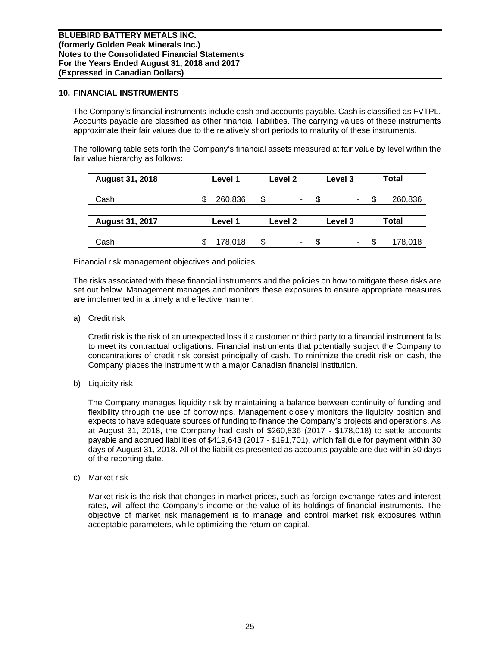### **10. FINANCIAL INSTRUMENTS**

The Company's financial instruments include cash and accounts payable. Cash is classified as FVTPL. Accounts payable are classified as other financial liabilities. The carrying values of these instruments approximate their fair values due to the relatively short periods to maturity of these instruments.

The following table sets forth the Company's financial assets measured at fair value by level within the fair value hierarchy as follows:

| <b>August 31, 2018</b> | Level 1 | Level 2 | Level 3 | Total          |  |
|------------------------|---------|---------|---------|----------------|--|
| Cash                   | 260,836 | \$<br>۰ | S<br>۰  | 260,836        |  |
|                        |         |         |         |                |  |
| <b>August 31, 2017</b> | Level 1 | Level 2 | Level 3 | Total          |  |
|                        |         |         |         |                |  |
| Cash                   | 178,018 | \$<br>- | \$<br>۰ | 178,018<br>\$. |  |

### Financial risk management objectives and policies

The risks associated with these financial instruments and the policies on how to mitigate these risks are set out below. Management manages and monitors these exposures to ensure appropriate measures are implemented in a timely and effective manner.

a) Credit risk

Credit risk is the risk of an unexpected loss if a customer or third party to a financial instrument fails to meet its contractual obligations. Financial instruments that potentially subject the Company to concentrations of credit risk consist principally of cash. To minimize the credit risk on cash, the Company places the instrument with a major Canadian financial institution.

b) Liquidity risk

The Company manages liquidity risk by maintaining a balance between continuity of funding and flexibility through the use of borrowings. Management closely monitors the liquidity position and expects to have adequate sources of funding to finance the Company's projects and operations. As at August 31, 2018, the Company had cash of \$260,836 (2017 - \$178,018) to settle accounts payable and accrued liabilities of \$419,643 (2017 - \$191,701), which fall due for payment within 30 days of August 31, 2018. All of the liabilities presented as accounts payable are due within 30 days of the reporting date.

c) Market risk

Market risk is the risk that changes in market prices, such as foreign exchange rates and interest rates, will affect the Company's income or the value of its holdings of financial instruments. The objective of market risk management is to manage and control market risk exposures within acceptable parameters, while optimizing the return on capital.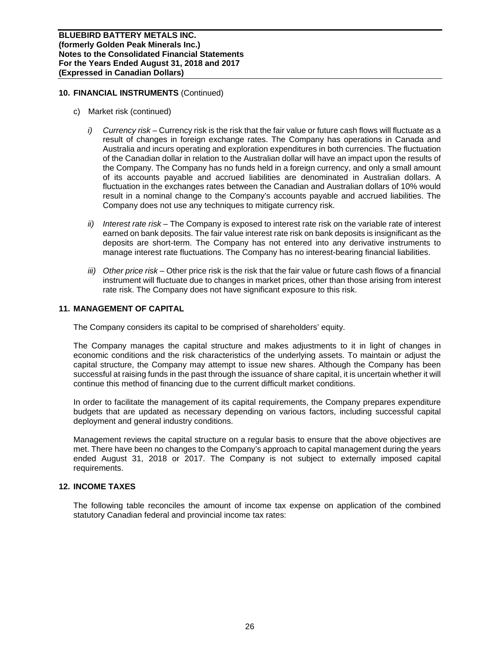## **10. FINANCIAL INSTRUMENTS** (Continued)

- c) Market risk (continued)
	- *i) Currency risk* Currency risk is the risk that the fair value or future cash flows will fluctuate as a result of changes in foreign exchange rates. The Company has operations in Canada and Australia and incurs operating and exploration expenditures in both currencies. The fluctuation of the Canadian dollar in relation to the Australian dollar will have an impact upon the results of the Company. The Company has no funds held in a foreign currency, and only a small amount of its accounts payable and accrued liabilities are denominated in Australian dollars. A fluctuation in the exchanges rates between the Canadian and Australian dollars of 10% would result in a nominal change to the Company's accounts payable and accrued liabilities. The Company does not use any techniques to mitigate currency risk.
	- *ii) Interest rate risk* The Company is exposed to interest rate risk on the variable rate of interest earned on bank deposits. The fair value interest rate risk on bank deposits is insignificant as the deposits are short-term. The Company has not entered into any derivative instruments to manage interest rate fluctuations. The Company has no interest-bearing financial liabilities.
	- *iii) Other price risk* Other price risk is the risk that the fair value or future cash flows of a financial instrument will fluctuate due to changes in market prices, other than those arising from interest rate risk. The Company does not have significant exposure to this risk.

## **11. MANAGEMENT OF CAPITAL**

The Company considers its capital to be comprised of shareholders' equity.

The Company manages the capital structure and makes adjustments to it in light of changes in economic conditions and the risk characteristics of the underlying assets. To maintain or adjust the capital structure, the Company may attempt to issue new shares. Although the Company has been successful at raising funds in the past through the issuance of share capital, it is uncertain whether it will continue this method of financing due to the current difficult market conditions.

In order to facilitate the management of its capital requirements, the Company prepares expenditure budgets that are updated as necessary depending on various factors, including successful capital deployment and general industry conditions.

Management reviews the capital structure on a regular basis to ensure that the above objectives are met. There have been no changes to the Company's approach to capital management during the years ended August 31, 2018 or 2017. The Company is not subject to externally imposed capital requirements.

### **12. INCOME TAXES**

The following table reconciles the amount of income tax expense on application of the combined statutory Canadian federal and provincial income tax rates: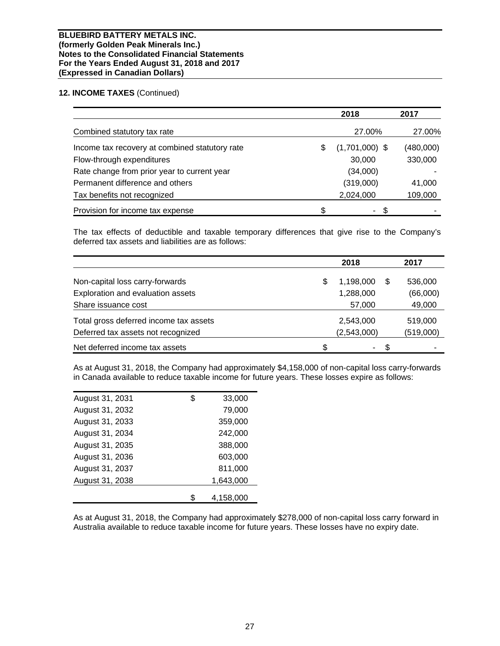### **BLUEBIRD BATTERY METALS INC. (formerly Golden Peak Minerals Inc.) Notes to the Consolidated Financial Statements For the Years Ended August 31, 2018 and 2017 (Expressed in Canadian Dollars)**

## **12. INCOME TAXES** (Continued)

|                                                | 2018                   | 2017      |
|------------------------------------------------|------------------------|-----------|
| Combined statutory tax rate                    | 27.00%                 | 27.00%    |
| Income tax recovery at combined statutory rate | \$<br>$(1,701,000)$ \$ | (480,000) |
| Flow-through expenditures                      | 30,000                 | 330,000   |
| Rate change from prior year to current year    | (34,000)               |           |
| Permanent difference and others                | (319,000)              | 41,000    |
| Tax benefits not recognized                    | 2,024,000              | 109,000   |
| Provision for income tax expense               | \$<br>-22<br>$\sim$    |           |

The tax effects of deductible and taxable temporary differences that give rise to the Company's deferred tax assets and liabilities are as follows:

|                                        | 2018            |     | 2017      |  |
|----------------------------------------|-----------------|-----|-----------|--|
| Non-capital loss carry-forwards        | \$<br>1,198,000 | \$. | 536,000   |  |
| Exploration and evaluation assets      | 1,288,000       |     | (66,000)  |  |
| Share issuance cost                    | 57,000          |     | 49,000    |  |
| Total gross deferred income tax assets | 2,543,000       |     | 519,000   |  |
| Deferred tax assets not recognized     | (2,543,000)     |     | (519,000) |  |
| Net deferred income tax assets         | \$<br>$\sim$    | ß.  |           |  |

As at August 31, 2018, the Company had approximately \$4,158,000 of non-capital loss carry-forwards in Canada available to reduce taxable income for future years. These losses expire as follows:

| August 31, 2031 | S. | 33,000    |
|-----------------|----|-----------|
| August 31, 2032 |    | 79,000    |
| August 31, 2033 |    | 359,000   |
| August 31, 2034 |    | 242,000   |
| August 31, 2035 |    | 388,000   |
| August 31, 2036 |    | 603,000   |
| August 31, 2037 |    | 811,000   |
| August 31, 2038 |    | 1,643,000 |
|                 | \$ | 4,158,000 |

As at August 31, 2018, the Company had approximately \$278,000 of non-capital loss carry forward in Australia available to reduce taxable income for future years. These losses have no expiry date.